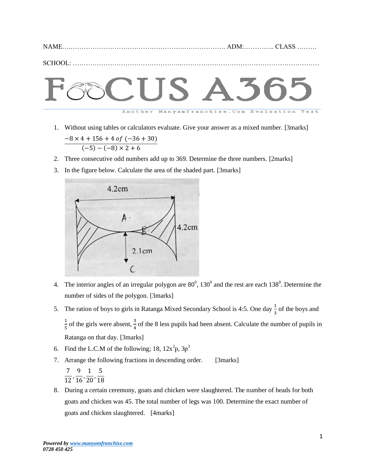|--|--|

SCHOOL: …………………………………………..………………………………………………………



1. Without using tables or calculators evaluate. Give your answer as a mixed number. [3marks]

$$
\frac{-8 \times 4 + 156 + 4 \text{ of } (-36 + 30)}{(-5) - (-8) \times 2 + 6}
$$

- 2. Three consecutive odd numbers add up to 369. Determine the three numbers. [2marks]
- 3. In the figure below. Calculate the area of the shaded part. [3marks]



- 4. The interior angles of an irregular polygon are  $80^{\circ}$ ,  $130^{\circ}$  and the rest are each  $138^{\circ}$ . Determine the number of sides of the polygon. [3marks]
- 5. The ration of boys to girls in Ratanga Mixed Secondary School is 4:5. One day  $\frac{1}{3}$  of the boys and  $\mathbf{1}$  $\frac{1}{5}$  of the girls were absent,  $\frac{3}{4}$  of the 8 less pupils had been absent. Calculate the number of pupils in Ratanga on that day. [3marks]
- 6. Find the L.C.M of the following; 18,  $12x^2p$ ,  $3p^3$
- 7. Arrange the following fractions in descending order. [3marks] 7  $\mathbf{1}$ 9  $\mathbf{1}$  $\mathbf{1}$  $\overline{c}$ 5  $\mathbf{1}$
- 8. During a certain ceremony, goats and chicken were slaughtered. The number of heads for both goats and chicken was 45. The total number of legs was 100. Determine the exact number of goats and chicken slaughtered. [4marks]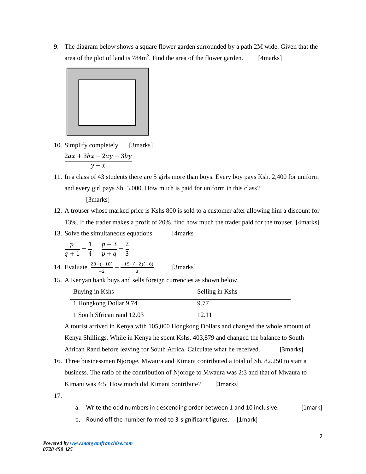9. The diagram below shows a square flower garden surrounded by a path 2M wide. Given that the area of the plot of land is  $784m^2$ . Find the area of the flower garden. [4marks]



- 10. Simplify completely. [3marks]  $2ax + 3bx - 2ay - 3by$  $y - x$
- 11. In a class of 43 students there are 5 girls more than boys. Every boy pays Ksh. 2,400 for uniform and every girl pays Sh. 3,000. How much is paid for uniform in this class?

## [3marks]

- 12. A trouser whose marked price is Kshs 800 is sold to a customer after allowing him a discount for 13%. If the trader makes a profit of 20%, find how much the trader paid for the trouser. [4marks]
- 13. Solve the simultaneous equations. [4marks]

$$
\frac{p}{q+1} = \frac{1}{4}, \quad \frac{p-3}{p+q} = \frac{2}{3}
$$

14. Evaluate. 
$$
\frac{28 - (-18)}{-2} - \frac{-15 - (-2)(-6)}{3}
$$
 [3marks]

15. A Kenyan bank buys and sells foreign currencies as shown below.

| Buying in Kshs             | Selling in Kshs |
|----------------------------|-----------------|
| 1 Hongkong Dollar 9.74     | 9.77            |
| 1 South Sfrican rand 12.03 | 12.11           |

A tourist arrived in Kenya with 105,000 Hongkong Dollars and changed the whole amount of Kenya Shillings. While in Kenya he spent Kshs. 403,879 and changed the balance to South African Rand before leaving for South Africa. Calculate what he received. [3marks]

- 16. Three businessmen Njoroge, Mwaura and Kimani contributed a total of Sh. 82,250 to start a business. The ratio of the contribution of Njoroge to Mwaura was 2:3 and that of Mwaura to Kimani was 4:5. How much did Kimani contribute? [3marks]
- 17.
- a. Write the odd numbers in descending order between 1 and 10 inclusive. [1mark]
- b. Round off the number formed to 3-significant figures. [1mark]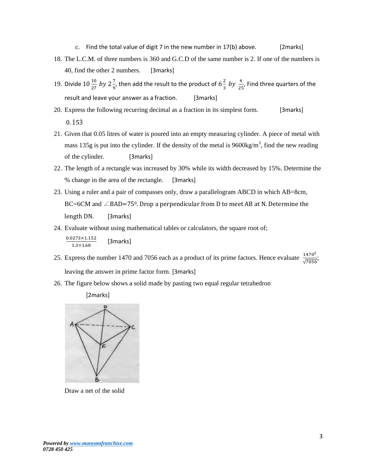- c. Find the total value of digit 7 in the new number in  $17(b)$  above. [2marks]
- 18. The L.C.M. of three numbers is 360 and G.C.D of the same number is 2. If one of the numbers is 40, find the other 2 numbers. [3marks]
- 19. Divide  $10\frac{10}{27}$  by  $2\frac{7}{9}$  $\frac{7}{9}$ , then add the result to the product of  $6\frac{2}{3}$  $\frac{2}{3}$  by  $\frac{4}{25}$ , Find three quarters of the result and leave your answer as a fraction. [3marks]
- 20. Express the following recurring decimal as a fraction in its simplest form. [3marks]  $0.153$
- 21. Given that 0.05 litres of water is poured into an empty measuring cylinder. A piece of metal with mass 135g is put into the cylinder. If the density of the metal is  $9600 \text{kg/m}^3$ , find the new reading of the cylinder. [3marks]
- 22. The length of a rectangle was increased by 30% while its width decreased by 15%. Determine the % change in the area of the rectangle. [3marks]
- 23. Using a ruler and a pair of compasses only, draw a parallelogram ABCD in which AB=8cm, BC=6CM and  $\angle$ BAD=75<sup>0</sup>. Drop a perpendicular from D to meet AB at N. Determine the length DN. [3marks]
- 24. Evaluate without using mathematical tables or calculators, the square root of;

$$
\frac{0.0273 \times 1.152}{1.3 \times 1.68}
$$
 [3marks]

- 25. Express the number 1470 and 7056 each as a product of its prime factors. Hence evaluate  $\frac{1470^2}{\sqrt{7056}}$ ; leaving the answer in prime factor form. [3marks]
- 26. The figure below shows a solid made by pasting two equal regular tetrahedron





Draw a net of the solid